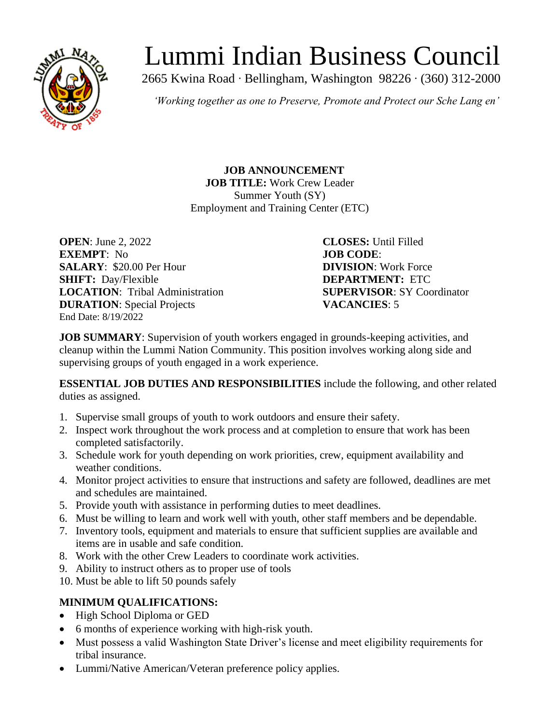

# Lummi Indian Business Council

2665 Kwina Road ∙ Bellingham, Washington 98226 ∙ (360) 312-2000

*'Working together as one to Preserve, Promote and Protect our Sche Lang en'*

**JOB ANNOUNCEMENT JOB TITLE:** Work Crew Leader Summer Youth (SY) Employment and Training Center (ETC)

**OPEN**: June 2, 2022 **CLOSES:** Until Filled **EXEMPT**: No **JOB CODE**: **SALARY**: \$20.00 Per Hour **DIVISION**: Work Force **SHIFT:** Day/Flexible **DEPARTMENT:** ETC **LOCATION**: Tribal Administration **SUPERVISOR**: SY Coordinator **DURATION**: Special Projects **VACANCIES**: 5 End Date: 8/19/2022

**JOB SUMMARY:** Supervision of youth workers engaged in grounds-keeping activities, and cleanup within the Lummi Nation Community. This position involves working along side and supervising groups of youth engaged in a work experience.

**ESSENTIAL JOB DUTIES AND RESPONSIBILITIES** include the following, and other related duties as assigned.

- 1. Supervise small groups of youth to work outdoors and ensure their safety.
- 2. Inspect work throughout the work process and at completion to ensure that work has been completed satisfactorily.
- 3. Schedule work for youth depending on work priorities, crew, equipment availability and weather conditions.
- 4. Monitor project activities to ensure that instructions and safety are followed, deadlines are met and schedules are maintained.
- 5. Provide youth with assistance in performing duties to meet deadlines.
- 6. Must be willing to learn and work well with youth, other staff members and be dependable.
- 7. Inventory tools, equipment and materials to ensure that sufficient supplies are available and items are in usable and safe condition.
- 8. Work with the other Crew Leaders to coordinate work activities.
- 9. Ability to instruct others as to proper use of tools
- 10. Must be able to lift 50 pounds safely

## **MINIMUM QUALIFICATIONS:**

- High School Diploma or GED
- 6 months of experience working with high-risk youth.
- Must possess a valid Washington State Driver's license and meet eligibility requirements for tribal insurance.
- Lummi/Native American/Veteran preference policy applies.